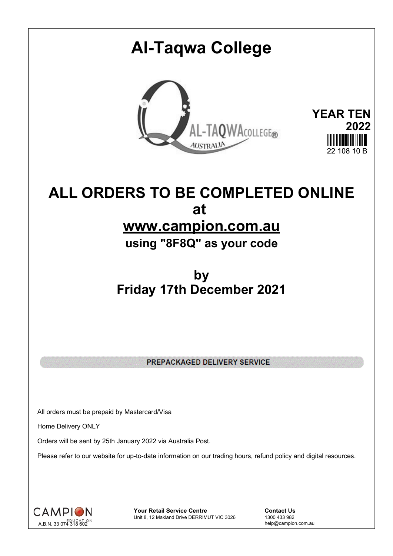# **Al-Taqwa College YEAR TEN** AL-TAQWACOLLEGE® **2022 AUSTRALIA** 22 108 10 B

## **ALL ORDERS TO BE COMPLETED ONLINE at www.campion.com.au**

**using "8F8Q" as your code**

## **by Friday 17th December 2021**

PREPACKAGED DELIVERY SERVICE

All orders must be prepaid by Mastercard/Visa

Home Delivery ONLY

Orders will be sent by 25th January 2022 via Australia Post.

Please refer to our website for up-to-date information on our trading hours, refund policy and digital resources.



**Your Retail Service Centre Contact Us**<br>
Unit 8, 12 Makland Drive DERRIMUT VIC 3026
1300 433 982 Unit 8, 12 Makland Drive DERRIMUT VIC 3026

help@campion.com.au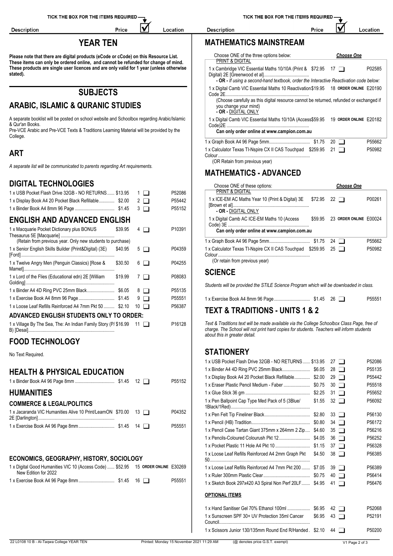Location

IV

Price

**Please note that there are digital products (eCode or cCode) on this Resource List. These items can only be ordered online, and cannot be refunded for change of mind. These products are single user licences and are only valid for 1 year (unless otherwise stated).**

### **SUBJECTS**

#### **ARABIC, ISLAMIC & QURANIC STUDIES**

A separate booklist will be posted on school website and Schoolbox regarding Arabic/Islamic & Qur'an Books.

Pre-VCE Arabic and Pre-VCE Texts & Traditions Learning Material will be provided by the College.

#### **ART**

Description

*A separate list will be communicated to parents regarding Art requirements.*

#### **DIGITAL TECHNOLOGIES**

| 1 x USB Pocket Flash Drive 32GB - NO RETURNS  \$13.95<br>1 x Display Book A4 20 Pocket Black Refillable \$2.00 | $\Box$ 1 $\Box$<br>$2\Box$<br>$3 \Box$ | P52086<br>P55442<br>P55152 | PRINT & DIGITAL<br>1 x ICE-EM AC Maths Year 10 (Print & Digital) 3E \$72.95 22<br>- OR - DIGITAL ONLY                                                                                    |        |                                | P00261 |
|----------------------------------------------------------------------------------------------------------------|----------------------------------------|----------------------------|------------------------------------------------------------------------------------------------------------------------------------------------------------------------------------------|--------|--------------------------------|--------|
| <b>ENGLISH AND ADVANCED ENGLISH</b><br>1 x Macquarie Pocket Dictionary plus BONUS<br>\$39.95                   | $4\Box$                                | P10391                     | 1 x Digital Camb AC ICE-EM Maths 10 (Access<br>Can only order online at www.campion.com.au                                                                                               |        | \$59.95 23 ORDER ONLINE E00024 |        |
| (Retain from previous year. Only new students to purchase)                                                     |                                        |                            |                                                                                                                                                                                          |        |                                | P55662 |
| 1 x Senior English Skills Builder (Print&Digital) (3E)<br>\$40.95                                              | $5\Box$                                | P04359                     | 1 x Calculator Texas TI-Nspire CX II CAS Touchpad \$259.95 25                                                                                                                            |        |                                | P50982 |
| 1 x Twelve Angry Men (Penguin Classics) [Rose &<br>\$30.50                                                     | $6\Box$                                | P04255                     | (Or retain from previous year)                                                                                                                                                           |        |                                |        |
| 1 x Lord of the Flies (Educational edn) 2E [William<br>\$19.99                                                 | $7\Box$                                | P08083                     | <b>SCIENCE</b>                                                                                                                                                                           |        |                                |        |
| 1 x Binder A4 4D Ring PVC 25mm Black \$6.05                                                                    | $8$ $\Box$                             | P55135                     | Students will be provided the STILE Science Program which will be downloaded in class.                                                                                                   |        |                                |        |
|                                                                                                                | $9$ $\Box$                             | P55551                     |                                                                                                                                                                                          |        |                                | P55551 |
| 1 x Loose Leaf Refills Reinforced A4 7mm Pkt 50  \$2.10                                                        | $10$ $\Box$                            | P56387                     |                                                                                                                                                                                          |        |                                |        |
| ADVANCED ENGLISH STUDENTS ONLY TO ORDER:                                                                       |                                        |                            | <b>TEXT &amp; TRADITIONS - UNITS 1 &amp; 2</b>                                                                                                                                           |        |                                |        |
| 1x Village By The Sea, The: An Indian Family Story (P/ \$16.99 11                                              |                                        | P16128                     | Text & Traditions text will be made available via the College Schoolbox Class Page, free of<br>charge. The School will not print hard copies for students. Teachers will inform students |        |                                |        |
| <b>FOOD TECHNOLOGY</b>                                                                                         |                                        |                            | about this in greater detail.                                                                                                                                                            |        |                                |        |
| No Text Required.                                                                                              |                                        |                            | <b>STATIONERY</b>                                                                                                                                                                        |        |                                |        |
|                                                                                                                |                                        |                            | 1 x USB Pocket Flash Drive 32GB - NO RETURNS  \$13.95 27                                                                                                                                 |        |                                | P52086 |
| <b>HEALTH &amp; PHYSICAL EDUCATION</b>                                                                         |                                        |                            |                                                                                                                                                                                          |        |                                | P55135 |
|                                                                                                                |                                        | P55152                     | 1 x Display Book A4 20 Pocket Black Refillable \$2.00                                                                                                                                    |        | $29$ $\Box$                    | P55442 |
|                                                                                                                |                                        |                            | 1 x Eraser Plastic Pencil Medium - Faber  \$0.75                                                                                                                                         |        | $30$ $\Box$                    | P55518 |
| <b>HUMANITIES</b>                                                                                              |                                        |                            |                                                                                                                                                                                          |        |                                | P55652 |
| <b>COMMERCE &amp; LEGAL/POLITICS</b>                                                                           |                                        |                            | 1 x Pen Ballpoint Cap Type Med Pack of 5 (3Blue/                                                                                                                                         | \$1.55 | $32 \Box$                      | P56092 |
| 1x Jacaranda VIC Humanities Alive 10 Print/LearnON \$70.00 13                                                  |                                        | P04352                     |                                                                                                                                                                                          |        |                                | P56130 |
|                                                                                                                |                                        | P55551                     |                                                                                                                                                                                          |        |                                | P56172 |
|                                                                                                                |                                        |                            | 1 x Pencil Case Tartan Giant 375mm x 264mm 2 Zip \$4.60 35                                                                                                                               |        |                                | P56216 |

#### **ECONOMICS, GEOGRAPHY, HISTORY, SOCIOLOGY**

| 1 x Digital Good Humanities VIC 10 (Access Code)  \$52.95 15 ORDER ONLINE E30269 |        | 1 x Loose Leaf Refills Reinford              |
|----------------------------------------------------------------------------------|--------|----------------------------------------------|
| New Edition for 2022                                                             |        | 1 x Ruler 300mm Plastic Clear                |
|                                                                                  | P55551 | $1 \times$ Cleater Dook 207 $\sqrt{20}$ A2.0 |

TICK THE BOX FOR THE ITEMS REQUIRED -

Price

### **YEAR TEN MATHEMATICS MAINSTREAM**

Description

| Choose ONE of the three options below:<br>PRINT & DIGITAL                                                                               | <b>Choose One</b>      |        |
|-----------------------------------------------------------------------------------------------------------------------------------------|------------------------|--------|
| 1 x Cambridge VIC Essential Maths 10/10A (Print & \$72.95 17                                                                            |                        | P02585 |
| - OR - If using a second-hand textbook, order the Interactive Reactivation code below:                                                  |                        |        |
| 1 x Digital Camb VIC Essential Maths 10 Reactivation \$19.95 18 ORDER ONLINE E20190<br>Code 2E.                                         |                        |        |
| (Choose carefully as this digital resource cannot be returned, refunded or exchanged if<br>you change your mind)<br>- OR - DIGITAL ONLY |                        |        |
| 1 x Digital Camb VIC Essential Maths 10/10A (Access\$59.95<br>Code) <sub>2E</sub> .                                                     | 19 ORDER ONLINE E20182 |        |
| Can only order online at www.campion.com.au                                                                                             |                        |        |
|                                                                                                                                         | $20 \mid$ 1            | P55662 |
| 1 x Calculator Texas TI-Nspire CX II CAS Touchpad \$259.95 21<br>(OR Retain from previous year)                                         |                        | P50982 |
| MATUEMATICS ANVANCEN                                                                                                                    |                        |        |

#### **MATHEMATICS - ADVANCED**

| Choose ONE of these options:                                                               |         | <b>Choose One</b>      |        |
|--------------------------------------------------------------------------------------------|---------|------------------------|--------|
| <b>PRINT &amp; DIGITAL</b>                                                                 |         |                        |        |
| 1 x ICE-EM AC Maths Year 10 (Print & Digital) 3E<br>- OR - DIGITAL ONLY                    | \$72.95 | 22 $\Box$              | P00261 |
| 1 x Digital Camb AC ICE-EM Maths 10 (Access<br>Can only order online at www.campion.com.au | \$59.95 | 23 ORDER ONLINE F00024 |        |
|                                                                                            |         |                        | P55662 |
| 1 x Calculator Texas TI-Nspire CX II CAS Touchpad \$259.95 25<br>Colour                    |         |                        | P50982 |
| (Or retain from previous year)                                                             |         |                        |        |

#### **SCIENCE**

#### **STATIONERY**

| 1 x USB Pocket Flash Drive 32GB - NO RETURNS  \$13.95     |        | $27 \mid$ 1          | P52086 |
|-----------------------------------------------------------|--------|----------------------|--------|
|                                                           |        | 28<br>$\Box$         | P55135 |
| 1 x Display Book A4 20 Pocket Black Refillable \$2.00     |        | 29<br>$\Box$         | P55442 |
|                                                           |        | 30<br>$\Box$         | P55518 |
|                                                           |        | 31<br>$\blacksquare$ | P55652 |
| 1 x Pen Ballpoint Cap Type Med Pack of 5 (3Blue/          | \$1.55 | 32<br>П              | P56092 |
|                                                           |        | 33<br>$\blacksquare$ | P56130 |
|                                                           |        | $34$ $\Box$          | P56172 |
| 1 x Pencil Case Tartan Giant 375mm x 264mm 2 Zip \$4.60   |        | 35<br>$\blacksquare$ | P56216 |
|                                                           |        | 36<br>$\Box$         | P56252 |
|                                                           |        | 37<br>$\blacksquare$ | P56328 |
| 1 x Loose Leaf Refills Reinforced A4 2mm Graph Pkt        | \$4.50 | $38$ $\Box$          | P56385 |
| 1 x Loose Leaf Refills Reinforced A4 7mm Pkt 200  \$7.05  |        | 39<br>$\mathbf{1}$   | P56389 |
|                                                           |        | 40<br>$\blacksquare$ | P56414 |
| 1 x Sketch Book 297x420 A3 Spiral Non Perf 20LF \$4.95    |        | 41<br>$\blacksquare$ | P56476 |
| <b>OPTIONAL ITEMS</b>                                     |        |                      |        |
|                                                           |        | $42 \square$         | P52068 |
| 1 x Sunscreen SPF 30+ UV Protection 35ml Cancer           | \$6.95 | 43                   | P52191 |
| 1 x Scissors Junior 130/135mm Round End R/Handed . \$2.10 |        | $44$ $\Box$          | P50200 |